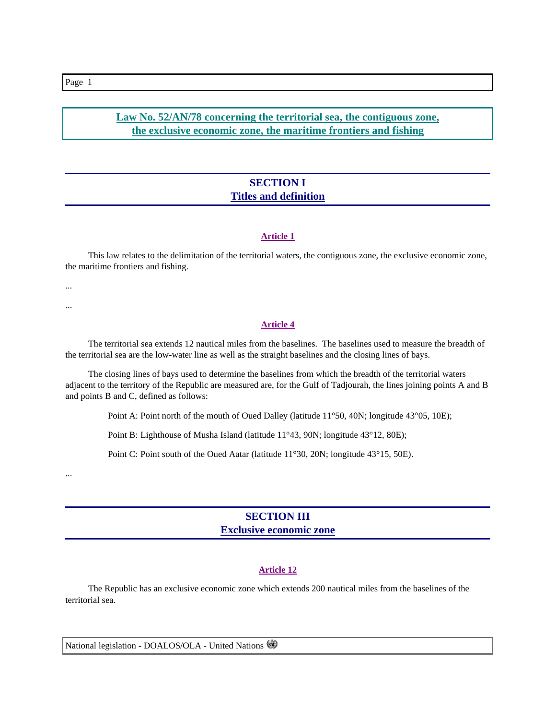**Law No. 52/AN/78 concerning the territorial sea, the contiguous zone, the exclusive economic zone, the maritime frontiers and fishing**

# **SECTION I Titles and definition**

#### **Article 1**

 This law relates to the delimitation of the territorial waters, the contiguous zone, the exclusive economic zone, the maritime frontiers and fishing.

...

...

#### **Article 4**

 The territorial sea extends 12 nautical miles from the baselines. The baselines used to measure the breadth of the territorial sea are the low-water line as well as the straight baselines and the closing lines of bays.

 The closing lines of bays used to determine the baselines from which the breadth of the territorial waters adjacent to the territory of the Republic are measured are, for the Gulf of Tadjourah, the lines joining points A and B and points B and C, defined as follows:

Point A: Point north of the mouth of Oued Dalley (latitude 11°50, 40N; longitude 43°05, 10E);

Point B: Lighthouse of Musha Island (latitude 11°43, 90N; longitude 43°12, 80E);

Point C: Point south of the Oued Aatar (latitude 11°30, 20N; longitude 43°15, 50E).

...

## **SECTION III Exclusive economic zone**

#### **Article 12**

 The Republic has an exclusive economic zone which extends 200 nautical miles from the baselines of the territorial sea.

National legislation - DOALOS/OLA - United Nations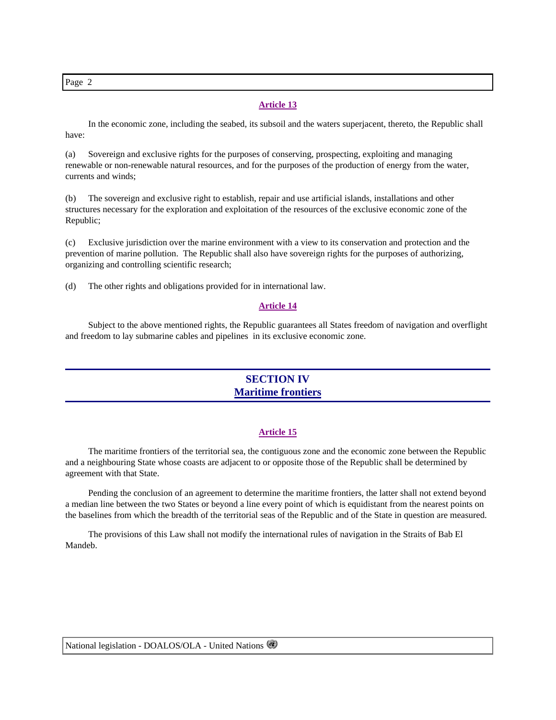Page 2

#### **Article 13**

 In the economic zone, including the seabed, its subsoil and the waters superjacent, thereto, the Republic shall have:

(a) Sovereign and exclusive rights for the purposes of conserving, prospecting, exploiting and managing renewable or non-renewable natural resources, and for the purposes of the production of energy from the water, currents and winds;

(b) The sovereign and exclusive right to establish, repair and use artificial islands, installations and other structures necessary for the exploration and exploitation of the resources of the exclusive economic zone of the Republic;

(c) Exclusive jurisdiction over the marine environment with a view to its conservation and protection and the prevention of marine pollution. The Republic shall also have sovereign rights for the purposes of authorizing, organizing and controlling scientific research;

(d) The other rights and obligations provided for in international law.

#### **Article 14**

 Subject to the above mentioned rights, the Republic guarantees all States freedom of navigation and overflight and freedom to lay submarine cables and pipelines in its exclusive economic zone.

# **SECTION IV Maritime frontiers**

#### **Article 15**

 The maritime frontiers of the territorial sea, the contiguous zone and the economic zone between the Republic and a neighbouring State whose coasts are adjacent to or opposite those of the Republic shall be determined by agreement with that State.

 Pending the conclusion of an agreement to determine the maritime frontiers, the latter shall not extend beyond a median line between the two States or beyond a line every point of which is equidistant from the nearest points on the baselines from which the breadth of the territorial seas of the Republic and of the State in question are measured.

 The provisions of this Law shall not modify the international rules of navigation in the Straits of Bab El Mandeb.